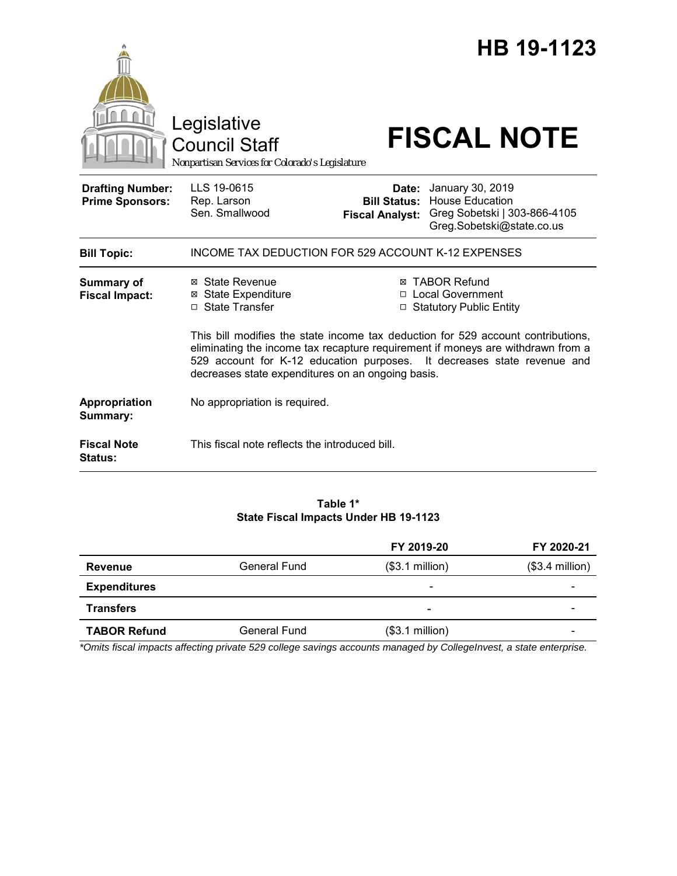|                                                                   | Legislative<br><b>Council Staff</b><br>Nonpartisan Services for Colorado's Legislature |                                                                                                                                                                                                                                                                                                                            | HB 19-1123<br><b>FISCAL NOTE</b>                                                                        |
|-------------------------------------------------------------------|----------------------------------------------------------------------------------------|----------------------------------------------------------------------------------------------------------------------------------------------------------------------------------------------------------------------------------------------------------------------------------------------------------------------------|---------------------------------------------------------------------------------------------------------|
| <b>Drafting Number:</b><br><b>Prime Sponsors:</b>                 | LLS 19-0615<br>Rep. Larson<br>Sen. Smallwood                                           | Date:<br><b>Bill Status:</b><br><b>Fiscal Analyst:</b>                                                                                                                                                                                                                                                                     | January 30, 2019<br><b>House Education</b><br>Greg Sobetski   303-866-4105<br>Greg.Sobetski@state.co.us |
| <b>Bill Topic:</b>                                                | INCOME TAX DEDUCTION FOR 529 ACCOUNT K-12 EXPENSES                                     |                                                                                                                                                                                                                                                                                                                            |                                                                                                         |
| <b>Summary of</b><br><b>Fiscal Impact:</b>                        | ⊠ State Revenue<br><b>⊠</b> State Expenditure<br>□ State Transfer                      | <b>⊠ TABOR Refund</b><br>□ Local Government<br>□ Statutory Public Entity<br>This bill modifies the state income tax deduction for 529 account contributions,<br>eliminating the income tax recapture requirement if moneys are withdrawn from a<br>529 account for K-12 education purposes. It decreases state revenue and |                                                                                                         |
|                                                                   | decreases state expenditures on an ongoing basis.                                      |                                                                                                                                                                                                                                                                                                                            |                                                                                                         |
| Appropriation<br>Summary:<br><b>Fiscal Note</b><br><b>Status:</b> | No appropriation is required.<br>This fiscal note reflects the introduced bill.        |                                                                                                                                                                                                                                                                                                                            |                                                                                                         |

#### **Table 1\* State Fiscal Impacts Under HB 19-1123**

|                     |                     | FY 2019-20               | FY 2020-21       |
|---------------------|---------------------|--------------------------|------------------|
| <b>Revenue</b>      | <b>General Fund</b> | $($3.1$ million)         | $($3.4$ million) |
| <b>Expenditures</b> |                     | $\overline{\phantom{a}}$ |                  |
| <b>Transfers</b>    |                     | $\overline{\phantom{0}}$ |                  |
| <b>TABOR Refund</b> | General Fund        | $($3.1$ million)         | -                |

*\*Omits fiscal impacts affecting private 529 college savings accounts managed by CollegeInvest, a state enterprise.*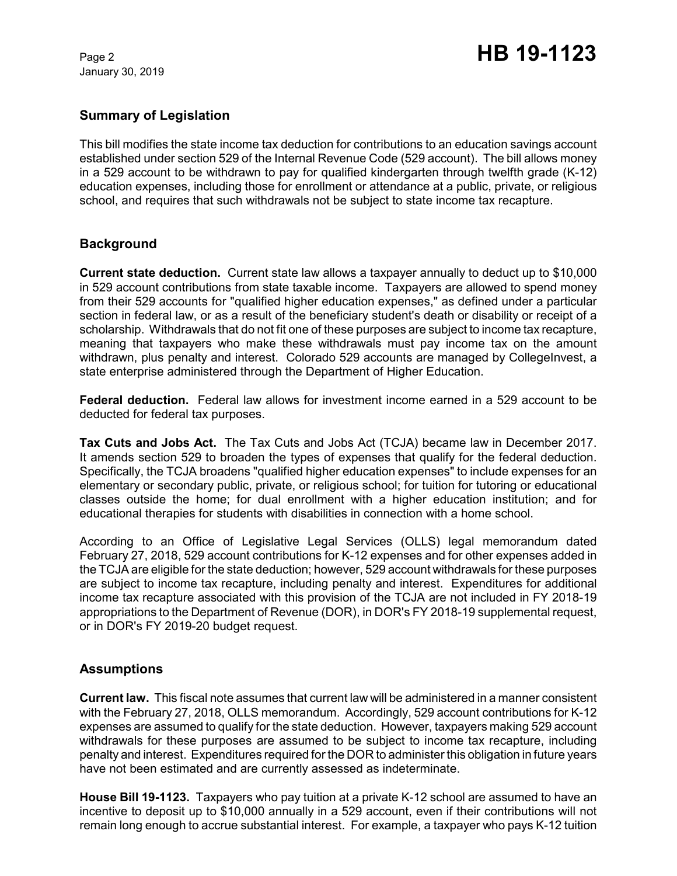January 30, 2019

# **Summary of Legislation**

This bill modifies the state income tax deduction for contributions to an education savings account established under section 529 of the Internal Revenue Code (529 account). The bill allows money in a 529 account to be withdrawn to pay for qualified kindergarten through twelfth grade (K-12) education expenses, including those for enrollment or attendance at a public, private, or religious school, and requires that such withdrawals not be subject to state income tax recapture.

### **Background**

**Current state deduction.** Current state law allows a taxpayer annually to deduct up to \$10,000 in 529 account contributions from state taxable income. Taxpayers are allowed to spend money from their 529 accounts for "qualified higher education expenses," as defined under a particular section in federal law, or as a result of the beneficiary student's death or disability or receipt of a scholarship. Withdrawals that do not fit one of these purposes are subject to income tax recapture, meaning that taxpayers who make these withdrawals must pay income tax on the amount withdrawn, plus penalty and interest. Colorado 529 accounts are managed by CollegeInvest, a state enterprise administered through the Department of Higher Education.

**Federal deduction.** Federal law allows for investment income earned in a 529 account to be deducted for federal tax purposes.

**Tax Cuts and Jobs Act.** The Tax Cuts and Jobs Act (TCJA) became law in December 2017. It amends section 529 to broaden the types of expenses that qualify for the federal deduction. Specifically, the TCJA broadens "qualified higher education expenses" to include expenses for an elementary or secondary public, private, or religious school; for tuition for tutoring or educational classes outside the home; for dual enrollment with a higher education institution; and for educational therapies for students with disabilities in connection with a home school.

According to an Office of Legislative Legal Services (OLLS) legal memorandum dated February 27, 2018, 529 account contributions for K-12 expenses and for other expenses added in the TCJA are eligible for the state deduction; however, 529 account withdrawals for these purposes are subject to income tax recapture, including penalty and interest. Expenditures for additional income tax recapture associated with this provision of the TCJA are not included in FY 2018-19 appropriations to the Department of Revenue (DOR), in DOR's FY 2018-19 supplemental request, or in DOR's FY 2019-20 budget request.

# **Assumptions**

**Current law.** This fiscal note assumes that current law will be administered in a manner consistent with the February 27, 2018, OLLS memorandum. Accordingly, 529 account contributions for K-12 expenses are assumed to qualify for the state deduction. However, taxpayers making 529 account withdrawals for these purposes are assumed to be subject to income tax recapture, including penalty and interest. Expenditures required for the DOR to administer this obligation in future years have not been estimated and are currently assessed as indeterminate.

**House Bill 19-1123.** Taxpayers who pay tuition at a private K-12 school are assumed to have an incentive to deposit up to \$10,000 annually in a 529 account, even if their contributions will not remain long enough to accrue substantial interest. For example, a taxpayer who pays K-12 tuition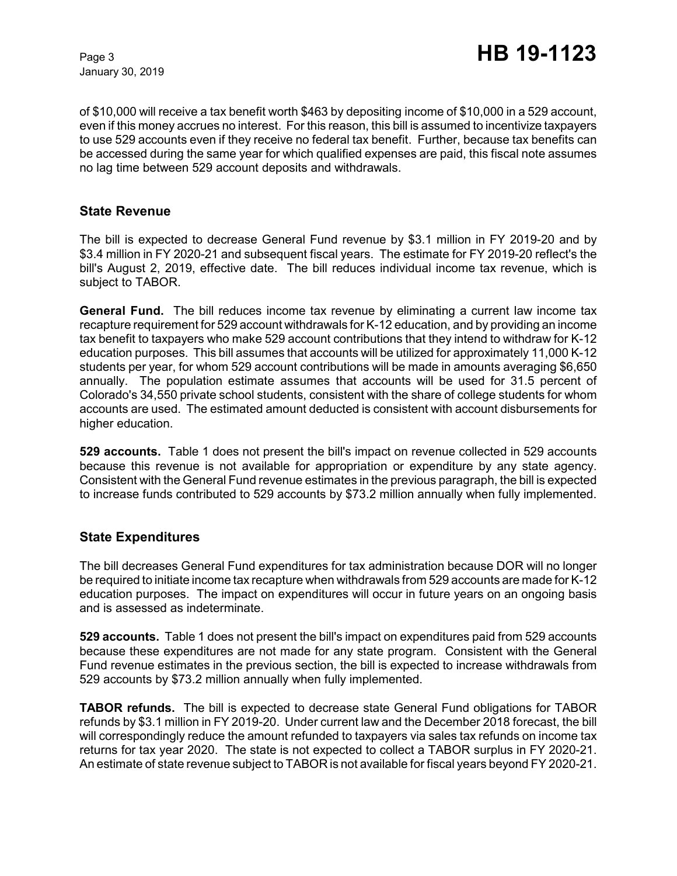January 30, 2019

of \$10,000 will receive a tax benefit worth \$463 by depositing income of \$10,000 in a 529 account, even if this money accrues no interest. For this reason, this bill is assumed to incentivize taxpayers to use 529 accounts even if they receive no federal tax benefit. Further, because tax benefits can be accessed during the same year for which qualified expenses are paid, this fiscal note assumes no lag time between 529 account deposits and withdrawals.

### **State Revenue**

The bill is expected to decrease General Fund revenue by \$3.1 million in FY 2019-20 and by \$3.4 million in FY 2020-21 and subsequent fiscal years. The estimate for FY 2019-20 reflect's the bill's August 2, 2019, effective date. The bill reduces individual income tax revenue, which is subject to TABOR.

**General Fund.** The bill reduces income tax revenue by eliminating a current law income tax recapture requirement for 529 account withdrawals for K-12 education, and by providing an income tax benefit to taxpayers who make 529 account contributions that they intend to withdraw for K-12 education purposes. This bill assumes that accounts will be utilized for approximately 11,000 K-12 students per year, for whom 529 account contributions will be made in amounts averaging \$6,650 annually. The population estimate assumes that accounts will be used for 31.5 percent of Colorado's 34,550 private school students, consistent with the share of college students for whom accounts are used. The estimated amount deducted is consistent with account disbursements for higher education.

**529 accounts.** Table 1 does not present the bill's impact on revenue collected in 529 accounts because this revenue is not available for appropriation or expenditure by any state agency. Consistent with the General Fund revenue estimates in the previous paragraph, the bill is expected to increase funds contributed to 529 accounts by \$73.2 million annually when fully implemented.

### **State Expenditures**

The bill decreases General Fund expenditures for tax administration because DOR will no longer be required to initiate income tax recapture when withdrawals from 529 accounts are made for K-12 education purposes. The impact on expenditures will occur in future years on an ongoing basis and is assessed as indeterminate.

**529 accounts.** Table 1 does not present the bill's impact on expenditures paid from 529 accounts because these expenditures are not made for any state program. Consistent with the General Fund revenue estimates in the previous section, the bill is expected to increase withdrawals from 529 accounts by \$73.2 million annually when fully implemented.

**TABOR refunds.** The bill is expected to decrease state General Fund obligations for TABOR refunds by \$3.1 million in FY 2019-20. Under current law and the December 2018 forecast, the bill will correspondingly reduce the amount refunded to taxpayers via sales tax refunds on income tax returns for tax year 2020. The state is not expected to collect a TABOR surplus in FY 2020-21. An estimate of state revenue subject to TABOR is not available for fiscal years beyond FY 2020-21.